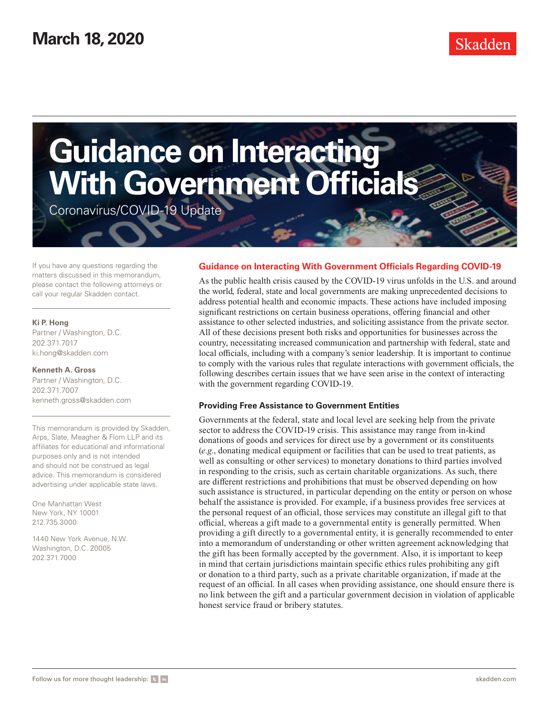

If you have any questions regarding the matters discussed in this memorandum, please contact the following attorneys or call your regular Skadden contact.

### **Ki P. Hong**

Partner / Washington, D.C. 202.371.7017 ki.hong@skadden.com

**Kenneth A. Gross** Partner / Washington, D.C. 202.371.7007 kenneth.gross@skadden.com

This memorandum is provided by Skadden, Arps, Slate, Meagher & Flom LLP and its affiliates for educational and informational purposes only and is not intended and should not be construed as legal advice. This memorandum is considered advertising under applicable state laws.

One Manhattan West New York, NY 10001 212.735.3000

1440 New York Avenue, N.W. Washington, D.C. 20005 202.371.7000

### **Guidance on Interacting With Government Officials Regarding COVID-19**

As the public health crisis caused by the COVID-19 virus unfolds in the U.S. and around the world, federal, state and local governments are making unprecedented decisions to address potential health and economic impacts. These actions have included imposing significant restrictions on certain business operations, offering financial and other assistance to other selected industries, and soliciting assistance from the private sector. All of these decisions present both risks and opportunities for businesses across the country, necessitating increased communication and partnership with federal, state and local officials, including with a company's senior leadership. It is important to continue to comply with the various rules that regulate interactions with government officials, the following describes certain issues that we have seen arise in the context of interacting with the government regarding COVID-19.

### **Providing Free Assistance to Government Entities**

Governments at the federal, state and local level are seeking help from the private sector to address the COVID-19 crisis. This assistance may range from in-kind donations of goods and services for direct use by a government or its constituents (*e.g.*, donating medical equipment or facilities that can be used to treat patients, as well as consulting or other services) to monetary donations to third parties involved in responding to the crisis, such as certain charitable organizations. As such, there are different restrictions and prohibitions that must be observed depending on how such assistance is structured, in particular depending on the entity or person on whose behalf the assistance is provided. For example, if a business provides free services at the personal request of an official, those services may constitute an illegal gift to that official, whereas a gift made to a governmental entity is generally permitted. When providing a gift directly to a governmental entity, it is generally recommended to enter into a memorandum of understanding or other written agreement acknowledging that the gift has been formally accepted by the government. Also, it is important to keep in mind that certain jurisdictions maintain specific ethics rules prohibiting any gift or donation to a third party, such as a private charitable organization, if made at the request of an official. In all cases when providing assistance, one should ensure there is no link between the gift and a particular government decision in violation of applicable honest service fraud or bribery statutes.